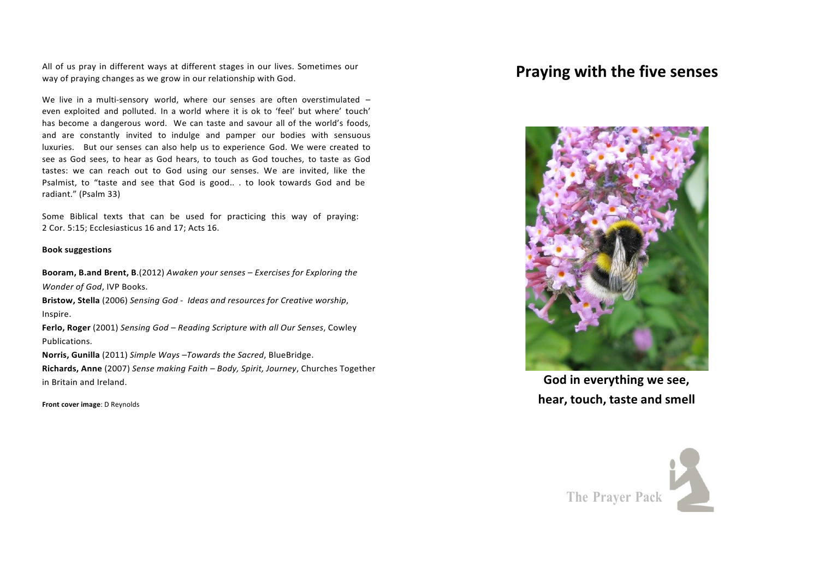All of us pray in different ways at different stages in our lives. Sometimes our All of us pray in different ways at different stages in our lives. Sometimes our<br>way of praying changes as we grow in our relationship with God.

We live in a multi-sensory world, where our senses are often overstimulated even exploited and polluted. In a world where it is ok to 'feel' but where' touch' has become a dangerous word. We can taste and savour all of the world's foods, and are constantly invited to indulge and pamper our bodies with sensuous luxuries. But our senses can also help us to experience God. We were created to see as God sees, to hear as God hears, to touch as God touches, to taste as God tastes: we can reach out to God using our senses. We are invited, like the Psalmist, to "taste and see that God is good.. . to look towards God and be radiant." (Psalm 33) 

Some Biblical texts that can be used for practicing this way of praying: 2 Cor. 5:15; Ecclesiasticus 16 and 17; Acts 16.

#### **Book suggestions**

**Booram, B.and Brent, B.(2012)** Awaken your senses – Exercises for Exploring the *Wonder of God*, IVP Books.

**Bristow, Stella** (2006) *Sensing God - Ideas and resources for Creative worship*, Inspire.

**Ferlo, Roger** (2001) Sensing God – Reading Scripture with all Our Senses, Cowley Publications. 

**Norris, Gunilla** (2011) *Simple Ways* -Towards the Sacred, BlueBridge. **Richards, Anne** (2007) Sense making Faith – Body, Spirit, Journey, Churches Together in Britain and Ireland. **God in everything we see,**



**Front cover image**: D Reynolds **hear, hear, touch, taste and smell** 

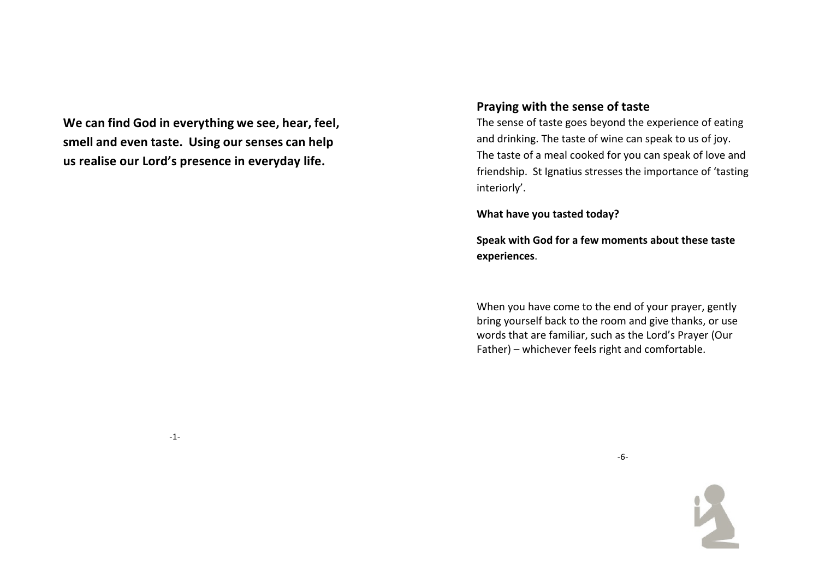**We can find God in everything we see, hear, feel, smell and even taste. Using our senses can help us realise our Lord's presence in everyday life.**

# **Praying with the sense of taste**

The sense of taste goes beyond the experience of eating and drinking. The taste of wine can speak to us of joy. The taste of a meal cooked for you can speak of love and friendship. St Ignatius stresses the importance of 'tasting interiorly'. 

**What have you tasted today?** 

**Speak with God for a few moments about these taste experiences**. 

When you have come to the end of your prayer, gently bring yourself back to the room and give thanks, or use words that are familiar, such as the Lord's Prayer (Our  $Father)$  – whichever feels right and comfortable.

-1-

 -6-

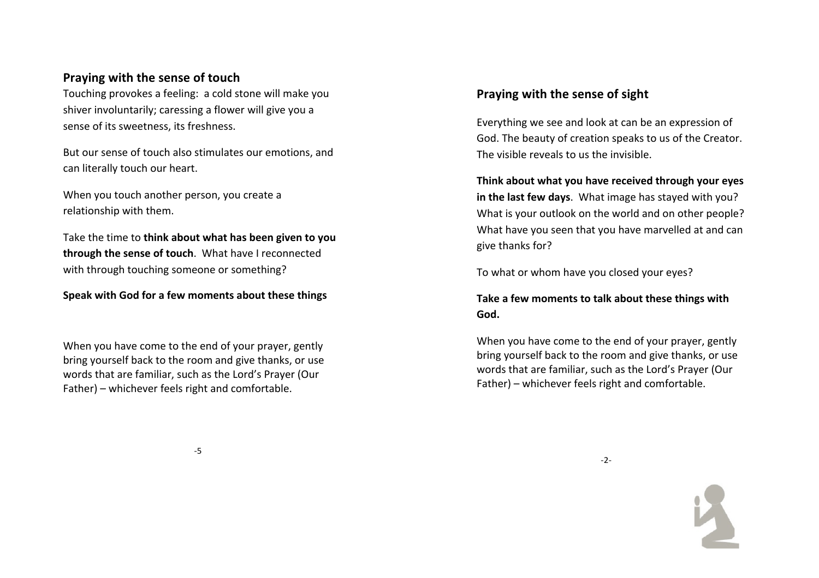# **Praying with the sense of touch**

Touching provokes a feeling: a cold stone will make you shiver involuntarily; caressing a flower will give you a sense of its sweetness, its freshness.

But our sense of touch also stimulates our emotions, and can literally touch our heart.

When you touch another person, you create a relationship with them.

Take the time to **think about what has been given to you through the sense of touch**. What have I reconnected with through touching someone or something?

**Speak with God for a few moments about these things** 

When you have come to the end of your prayer, gently bring yourself back to the room and give thanks, or use words that are familiar, such as the Lord's Prayer (Our  $Father)$  – whichever feels right and comfortable.

# **Praying with the sense of sight**

Everything we see and look at can be an expression of God. The beauty of creation speaks to us of the Creator. The visible reveals to us the invisible.

Think about what you have received through your eyes in the last few days. What image has stayed with you? What is your outlook on the world and on other people? What have you seen that you have marvelled at and can give thanks for?

To what or whom have you closed your eyes?

Take a few moments to talk about these things with God.

When you have come to the end of your prayer, gently bring yourself back to the room and give thanks, or use words that are familiar, such as the Lord's Prayer (Our  $Father)$  – whichever feels right and comfortable.

-5 (1992) - 1994 - 1995 - 1996 - 1997 - 1998 - 1999 - 1999 - 1999 - 1999 - 1999 - 1999 - 1999 - 1999 - 1999 -